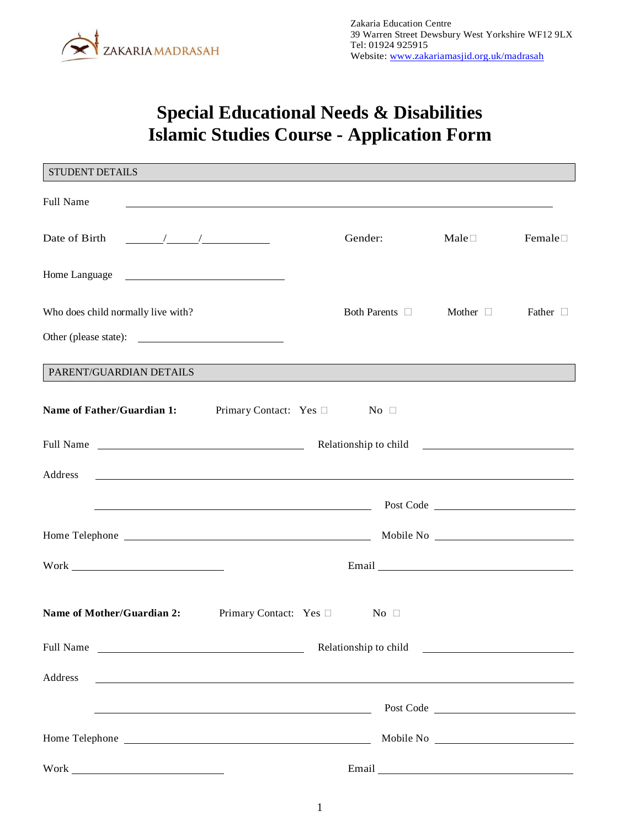

# **Special Educational Needs & Disabilities Islamic Studies Course - Application Form**

| STUDENT DETAILS                                                    |                                                                                                                        |         |                         |                         |                                                                                                                                                                                                                                      |
|--------------------------------------------------------------------|------------------------------------------------------------------------------------------------------------------------|---------|-------------------------|-------------------------|--------------------------------------------------------------------------------------------------------------------------------------------------------------------------------------------------------------------------------------|
| <b>Full Name</b>                                                   | ,我们也不会有一个人的人,我们也不会有一个人的人,我们也不会有一个人的人,我们也不会有一个人的人。""我们的人,我们也不会有一个人的人,我们也不会有一个人的人,                                       |         |                         |                         |                                                                                                                                                                                                                                      |
| Date of Birth $\frac{\sqrt{1-\frac{1}{2}}}{\sqrt{1-\frac{1}{2}}}}$ |                                                                                                                        | Gender: |                         | $\text{Male}$           | Female $\square$                                                                                                                                                                                                                     |
|                                                                    |                                                                                                                        |         |                         |                         |                                                                                                                                                                                                                                      |
| Who does child normally live with?                                 |                                                                                                                        |         |                         | Both Parents and Mother | Father $\Box$                                                                                                                                                                                                                        |
| Other (please state):                                              |                                                                                                                        |         |                         |                         |                                                                                                                                                                                                                                      |
| PARENT/GUARDIAN DETAILS                                            |                                                                                                                        |         |                         |                         |                                                                                                                                                                                                                                      |
| Name of Father/Guardian 1: Primary Contact: Yes □ No □             |                                                                                                                        |         |                         |                         |                                                                                                                                                                                                                                      |
| Full Name                                                          |                                                                                                                        |         |                         |                         |                                                                                                                                                                                                                                      |
| Address                                                            |                                                                                                                        |         |                         |                         |                                                                                                                                                                                                                                      |
|                                                                    | Post Code Post Code                                                                                                    |         |                         |                         |                                                                                                                                                                                                                                      |
|                                                                    |                                                                                                                        |         |                         |                         |                                                                                                                                                                                                                                      |
| $\label{thm:work} \text{Work} \underbrace{\qquad \qquad }$         |                                                                                                                        |         |                         |                         | Email <u>and the contract of the contract of the contract of the contract of the contract of the contract of the contract of the contract of the contract of the contract of the contract of the contract of the contract of the</u> |
| <b>Name of Mother/Guardian 2:</b>                                  | Primary Contact: Yes $\square$                                                                                         |         | $\overline{N}$ o $\Box$ |                         |                                                                                                                                                                                                                                      |
| Full Name                                                          |                                                                                                                        |         |                         |                         |                                                                                                                                                                                                                                      |
| Address                                                            | <u> 1989 - Johann Stoff, deutscher Stoffen und der Stoffen und der Stoffen und der Stoffen und der Stoffen und der</u> |         |                         |                         |                                                                                                                                                                                                                                      |
|                                                                    |                                                                                                                        |         |                         |                         | Post Code                                                                                                                                                                                                                            |
|                                                                    |                                                                                                                        |         |                         |                         |                                                                                                                                                                                                                                      |
|                                                                    |                                                                                                                        |         |                         |                         |                                                                                                                                                                                                                                      |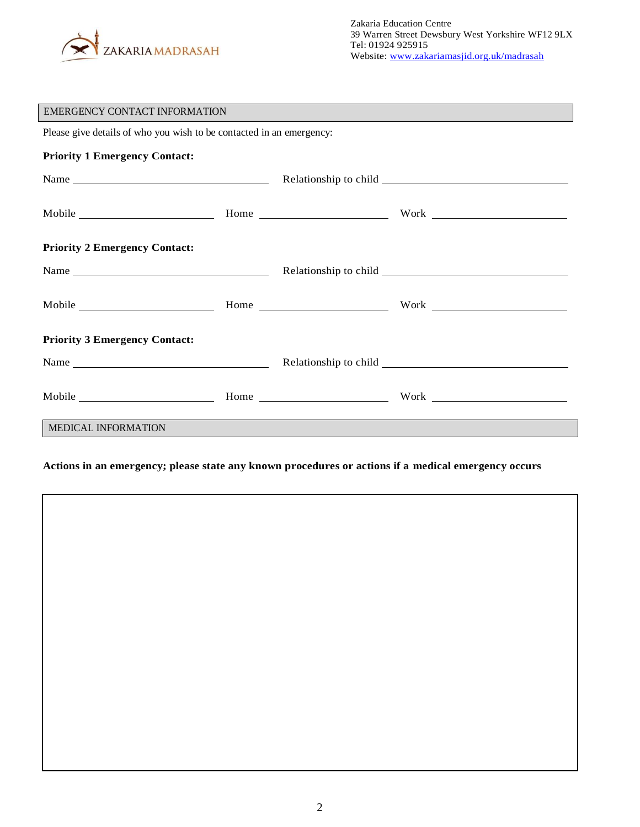

| <b>EMERGENCY CONTACT INFORMATION</b>                                 |  |  |                                                                                                                                                                                                                                |  |  |  |
|----------------------------------------------------------------------|--|--|--------------------------------------------------------------------------------------------------------------------------------------------------------------------------------------------------------------------------------|--|--|--|
| Please give details of who you wish to be contacted in an emergency: |  |  |                                                                                                                                                                                                                                |  |  |  |
| <b>Priority 1 Emergency Contact:</b>                                 |  |  |                                                                                                                                                                                                                                |  |  |  |
|                                                                      |  |  |                                                                                                                                                                                                                                |  |  |  |
|                                                                      |  |  |                                                                                                                                                                                                                                |  |  |  |
| <b>Priority 2 Emergency Contact:</b>                                 |  |  |                                                                                                                                                                                                                                |  |  |  |
|                                                                      |  |  |                                                                                                                                                                                                                                |  |  |  |
|                                                                      |  |  | Mobile Mone Home North Work North Mone                                                                                                                                                                                         |  |  |  |
| <b>Priority 3 Emergency Contact:</b>                                 |  |  |                                                                                                                                                                                                                                |  |  |  |
|                                                                      |  |  |                                                                                                                                                                                                                                |  |  |  |
|                                                                      |  |  | Mobile More More North More North More North More North More North More North More North More North More North More North More North More North More North More North More North More North More North More North More North M |  |  |  |
| <b>MEDICAL INFORMATION</b>                                           |  |  |                                                                                                                                                                                                                                |  |  |  |

#### **Actions in an emergency; please state any known procedures or actions if a medical emergency occurs**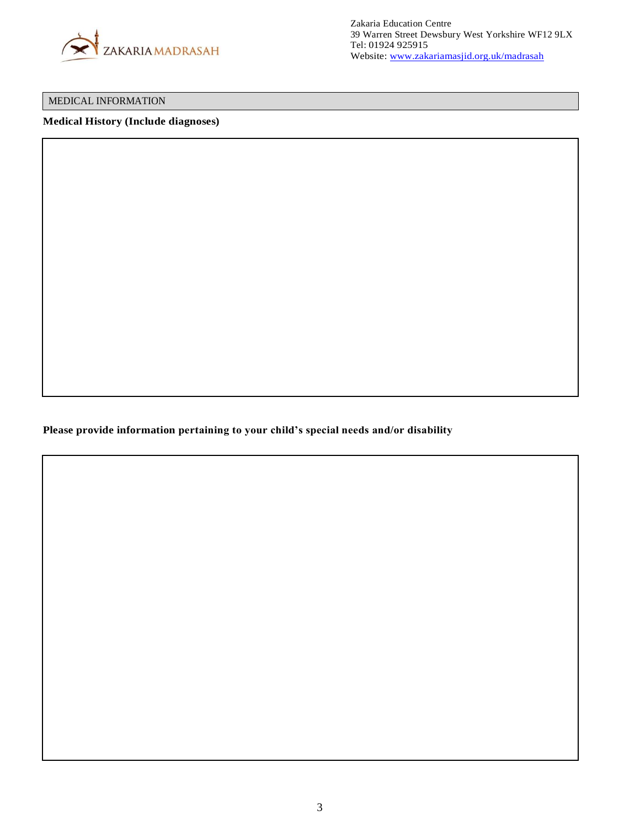

#### MEDICAL INFORMATION

#### **Medical History (Include diagnoses)**

**Please provide information pertaining to your child's special needs and/or disability**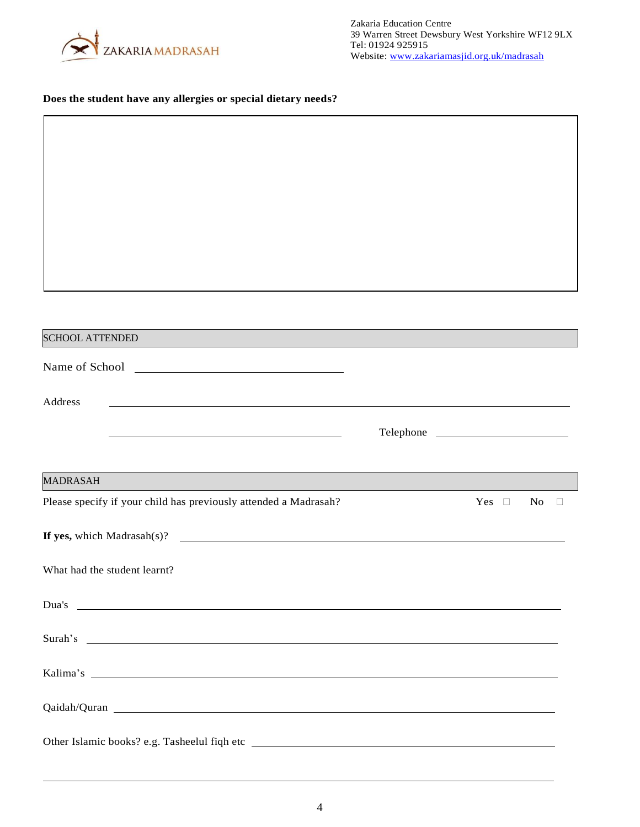

### **Does the student have any allergies or special dietary needs?**

| <b>SCHOOL ATTENDED</b>                                                                                                                                                                                                               |            |              |
|--------------------------------------------------------------------------------------------------------------------------------------------------------------------------------------------------------------------------------------|------------|--------------|
|                                                                                                                                                                                                                                      |            |              |
|                                                                                                                                                                                                                                      |            |              |
| Address<br><u> 1980 - Johann Barnett, fransk politik (d. 1980)</u>                                                                                                                                                                   |            |              |
|                                                                                                                                                                                                                                      | Telephone  |              |
|                                                                                                                                                                                                                                      |            |              |
| MADRASAH                                                                                                                                                                                                                             |            |              |
| Please specify if your child has previously attended a Madrasah?                                                                                                                                                                     | $Yes \Box$ | No<br>$\Box$ |
| If yes, which Madrasah(s)?                                                                                                                                                                                                           |            |              |
| What had the student learnt?                                                                                                                                                                                                         |            |              |
|                                                                                                                                                                                                                                      |            |              |
| Dua's<br><u> 1989 - Johann Barn, amerikansk politiker (d. 1989)</u>                                                                                                                                                                  |            |              |
| Surah's <u>example and the set of the set of the set of the set of the set of the set of the set of the set of the set of the set of the set of the set of the set of the set of the set of the set of the set of the set of the</u> |            |              |
|                                                                                                                                                                                                                                      |            |              |
|                                                                                                                                                                                                                                      |            |              |
|                                                                                                                                                                                                                                      |            |              |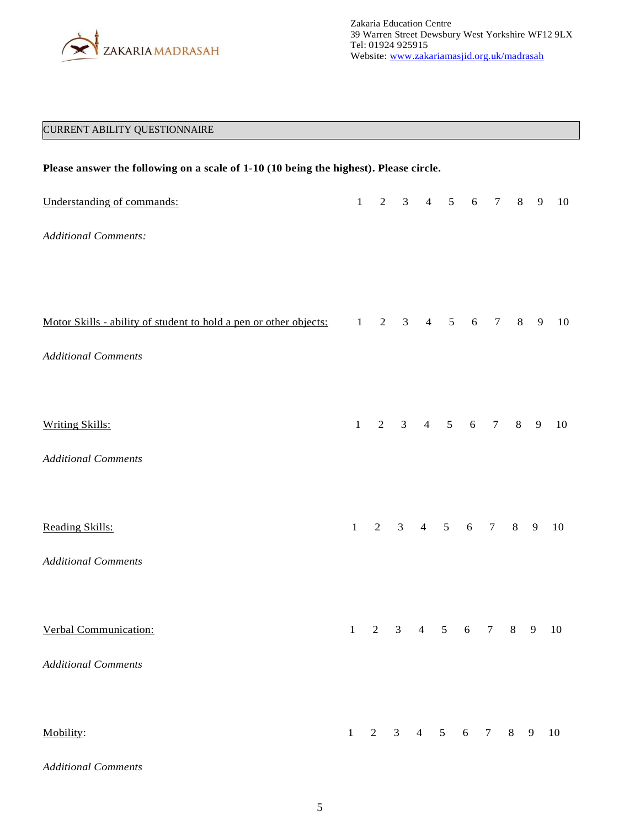

## CURRENT ABILITY QUESTIONNAIRE

| Please answer the following on a scale of 1-10 (10 being the highest). Please circle. |              |                |                |                                  |                |                 |                 |                         |                |    |
|---------------------------------------------------------------------------------------|--------------|----------------|----------------|----------------------------------|----------------|-----------------|-----------------|-------------------------|----------------|----|
| Understanding of commands:                                                            | 1            | $\overline{2}$ |                | 3 <sup>7</sup><br>$\overline{4}$ | 5              | $\sqrt{6}$      | $7\phantom{.0}$ | 8                       | $\overline{9}$ | 10 |
| <b>Additional Comments:</b>                                                           |              |                |                |                                  |                |                 |                 |                         |                |    |
|                                                                                       |              |                |                |                                  |                |                 |                 |                         |                |    |
| Motor Skills - ability of student to hold a pen or other objects:                     | $\mathbf{1}$ | $\overline{2}$ | $\mathfrak{Z}$ | $\overline{4}$                   | $\sqrt{5}$     | $\sqrt{6}$      | $\tau$          | 8                       | $\overline{9}$ | 10 |
| <b>Additional Comments</b>                                                            |              |                |                |                                  |                |                 |                 |                         |                |    |
|                                                                                       |              |                |                |                                  |                |                 |                 |                         |                |    |
| <b>Writing Skills:</b>                                                                | $\mathbf{1}$ | $\overline{2}$ | $\mathfrak{Z}$ | $\overline{4}$                   | $\mathfrak{S}$ | 6               | $\tau$          | 8                       | 9              | 10 |
| <b>Additional Comments</b>                                                            |              |                |                |                                  |                |                 |                 |                         |                |    |
|                                                                                       |              |                |                |                                  |                |                 |                 |                         |                |    |
| Reading Skills:                                                                       | $\,1\,$      | $\overline{2}$ | $\mathfrak{Z}$ | $\overline{4}$                   |                | $5\qquad 6$     | $7\overline{ }$ | $8\,$                   | 9              | 10 |
| <b>Additional Comments</b>                                                            |              |                |                |                                  |                |                 |                 |                         |                |    |
|                                                                                       |              |                |                |                                  |                |                 |                 |                         |                |    |
| Verbal Communication:                                                                 |              |                |                | 1 2 3 4 5 6 7 8 9 10             |                |                 |                 |                         |                |    |
| <b>Additional Comments</b>                                                            |              |                |                |                                  |                |                 |                 |                         |                |    |
|                                                                                       | $\mathbf{1}$ | 2              | $\overline{3}$ | $4\quad 5$                       |                | $6\overline{6}$ | $\overline{7}$  |                         |                |    |
| Mobility:                                                                             |              |                |                |                                  |                |                 |                 | $\overline{\mathbf{8}}$ | $\overline{9}$ | 10 |
| <b>Additional Comments</b>                                                            |              |                |                |                                  |                |                 |                 |                         |                |    |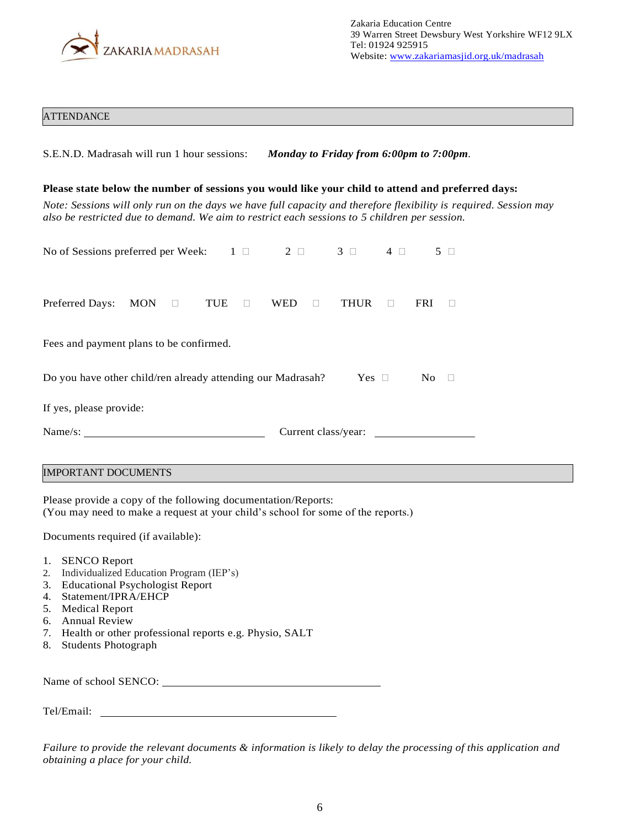

#### **ATTENDANCE**

| S.E.N.D. Madrasah will run 1 hour sessions: Monday to Friday from 6:00pm to 7:00pm.                                                                                                                                                                                                                                     |                                     |               |        |            |         |  |  |
|-------------------------------------------------------------------------------------------------------------------------------------------------------------------------------------------------------------------------------------------------------------------------------------------------------------------------|-------------------------------------|---------------|--------|------------|---------|--|--|
| Please state below the number of sessions you would like your child to attend and preferred days:<br>Note: Sessions will only run on the days we have full capacity and therefore flexibility is required. Session may<br>also be restricted due to demand. We aim to restrict each sessions to 5 children per session. |                                     |               |        |            |         |  |  |
| No of Sessions preferred per Week: $1 \Box$                                                                                                                                                                                                                                                                             | $2 \square$ $3 \square$ $4 \square$ |               |        |            | $5\Box$ |  |  |
| Preferred Days:<br>MON<br>TUE<br>$\Box$<br>$\Box$                                                                                                                                                                                                                                                                       | <b>WED</b><br>$\Box$                | <b>THUR</b>   | $\Box$ | <b>FRI</b> | П       |  |  |
| Fees and payment plans to be confirmed.                                                                                                                                                                                                                                                                                 |                                     |               |        |            |         |  |  |
| Do you have other child/ren already attending our Madrasah?                                                                                                                                                                                                                                                             |                                     | Yes $\square$ |        | No.        | $\Box$  |  |  |
| If yes, please provide:                                                                                                                                                                                                                                                                                                 |                                     |               |        |            |         |  |  |
| Name/s:                                                                                                                                                                                                                                                                                                                 | Current class/year:                 |               |        |            |         |  |  |
| <b>IMPORTANT DOCUMENTS</b>                                                                                                                                                                                                                                                                                              |                                     |               |        |            |         |  |  |

Please provide a copy of the following documentation/Reports: (You may need to make a request at your child's school for some of the reports.)

Documents required (if available):

- 1. SENCO Report
- 2. Individualized Education Program (IEP's)
- 3. Educational Psychologist Report
- 4. Statement/IPRA/EHCP
- 5. Medical Report
- 6. Annual Review
- 7. Health or other professional reports e.g. Physio, SALT
- 8. Students Photograph

| Name of school SENCO: |  |
|-----------------------|--|
|-----------------------|--|

Tel/Email:

*Failure to provide the relevant documents & information is likely to delay the processing of this application and obtaining a place for your child.*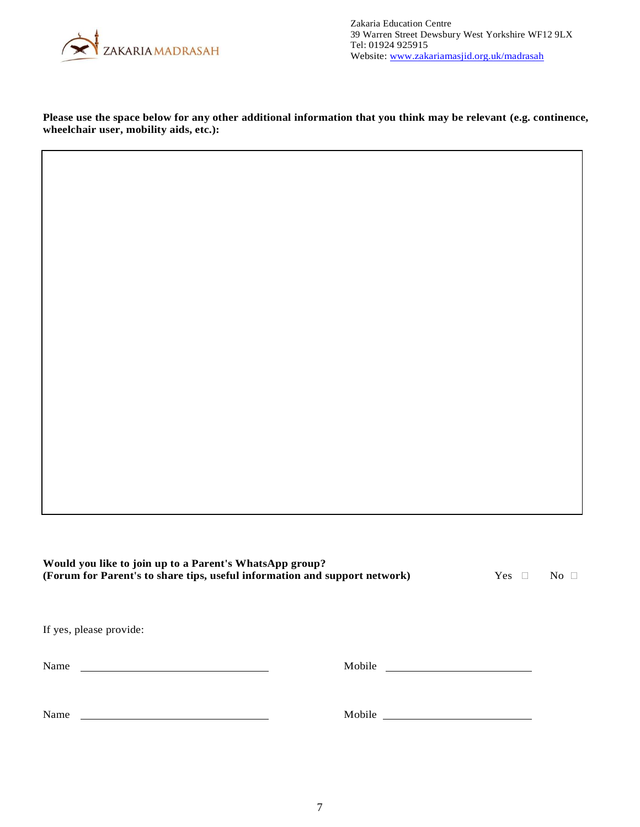

**Please use the space below for any other additional information that you think may be relevant (e.g. continence, wheelchair user, mobility aids, etc.):**

**Would you like to join up to a Parent's WhatsApp group? (Forum for Parent's to share tips, useful information and support network)** Yes  $\Box$  No  $\Box$ If yes, please provide:

| Name | Mobile |  |  |  |
|------|--------|--|--|--|
|      |        |  |  |  |
|      |        |  |  |  |
| Name | Mobile |  |  |  |